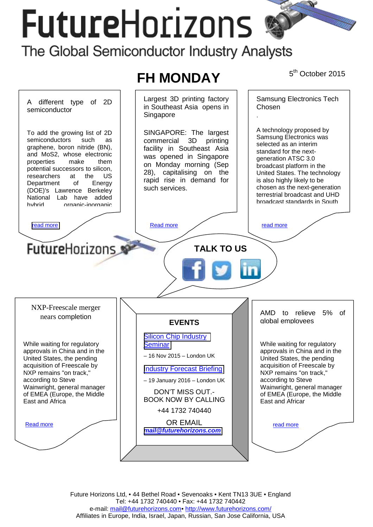# **FutureHorizons**

The Global Semiconductor Industry Analysts



Future Horizons Ltd, • 44 Bethel Road • Sevenoaks • Kent TN13 3UE • England Tel: +44 1732 740440 • Fax: +44 1732 740442 e-mail: mail@futurehorizons.com• http://www.futurehorizons.com/ Affiliates in Europe, India, Israel, Japan, Russian, San Jose California, USA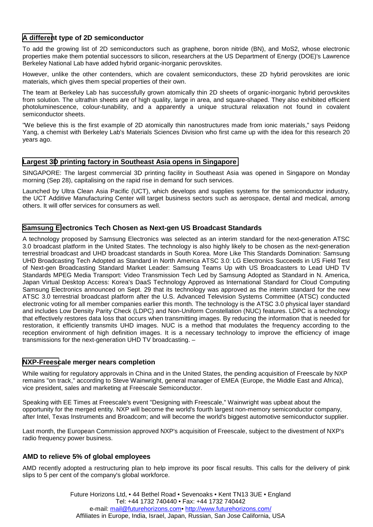# <span id="page-1-0"></span>**A different type of 2D semiconductor**

To add the growing list of 2D semiconductors such as graphene, boron nitride (BN), and MoS2, whose electronic properties make them potential successors to silicon, researchers at the US Department of Energy (DOE)'s Lawrence Berkeley National Lab have added hybrid organic-inorganic perovskites.

However, unlike the other contenders, which are covalent semiconductors, these 2D hybrid perovskites are ionic materials, which gives them special properties of their own.

The team at Berkeley Lab has successfully grown atomically thin 2D sheets of organic-inorganic hybrid perovskites from solution. The ultrathin sheets are of high quality, large in area, and square-shaped. They also exhibited efficient photoluminescence, colour-tunability, and a apparently a unique structural relaxation not found in covalent semiconductor sheets.

"We believe this is the first example of 2D atomically thin nanostructures made from ionic materials," says Peidong Yang, a chemist with Berkeley Lab's Materials Sciences Division who first came up with the idea for this research 20 years ago.

# **Largest 3D printing factory in Southeast Asia opens in Singapore**

SINGAPORE: The largest commercial 3D printing facility in Southeast Asia was opened in Singapore on Monday morning (Sep 28), capitalising on the rapid rise in demand for such services.

Launched by Ultra Clean Asia Pacific (UCT), which develops and supplies systems for the semiconductor industry, the UCT Additive Manufacturing Center will target business sectors such as aerospace, dental and medical, among others. It will offer services for consumers as well.

# **Samsung Electronics Tech Chosen as Next-gen US Broadcast Standards**

A technology proposed by Samsung Electronics was selected as an interim standard for the next-generation ATSC 3.0 broadcast platform in the United States. The technology is also highly likely to be chosen as the next-generation terrestrial broadcast and UHD broadcast standards in South Korea. More Like This Standards Domination: Samsung UHD Broadcasting Tech Adopted as Standard in North America ATSC 3.0: LG Electronics Succeeds in US Field Test of Next-gen Broadcasting Standard Market Leader: Samsung Teams Up with US Broadcasters to Lead UHD TV Standards MPEG Media Transport: Video Transmission Tech Led by Samsung Adopted as Standard in N. America, Japan Virtual Desktop Access: Korea's DaaS Technology Approved as International Standard for Cloud Computing Samsung Electronics announced on Sept. 29 that its technology was approved as the interim standard for the new ATSC 3.0 terrestrial broadcast platform after the U.S. Advanced Television Systems Committee (ATSC) conducted electronic voting for all member companies earlier this month. The technology is the ATSC 3.0 physical layer standard and includes Low Density Parity Check (LDPC) and Non-Uniform Constellation (NUC) features. LDPC is a technology that effectively restores data loss that occurs when transmitting images. By reducing the information that is needed for restoration, it efficiently transmits UHD images. NUC is a method that modulates the frequency according to the reception environment of high definition images. It is a necessary technology to improve the efficiency of image transmissions for the next-generation UHD TV broadcasting. –

### **NXP-Freescale merger nears completion**

While waiting for regulatory approvals in China and in the United States, the pending acquisition of Freescale by NXP remains "on track," according to Steve Wainwright, general manager of EMEA (Europe, the Middle East and Africa), vice president, sales and marketing at Freescale Semiconductor.

Speaking with EE Times at Freescale's event "Designing with Freescale," Wainwright was upbeat about the opportunity for the merged entity. NXP will become the world's fourth largest non-memory semiconductor company, after Intel, Texas Instruments and Broadcom; and will become the world's biggest automotive semiconductor supplier.

Last month, the European Commission approved NXP's acquisition of Freescale, subject to the divestment of NXP's radio frequency power business.

### **AMD to relieve 5% of global employees**

AMD recently adopted a restructuring plan to help improve its poor fiscal results. This calls for the delivery of pink slips to 5 per cent of the company's global workforce.